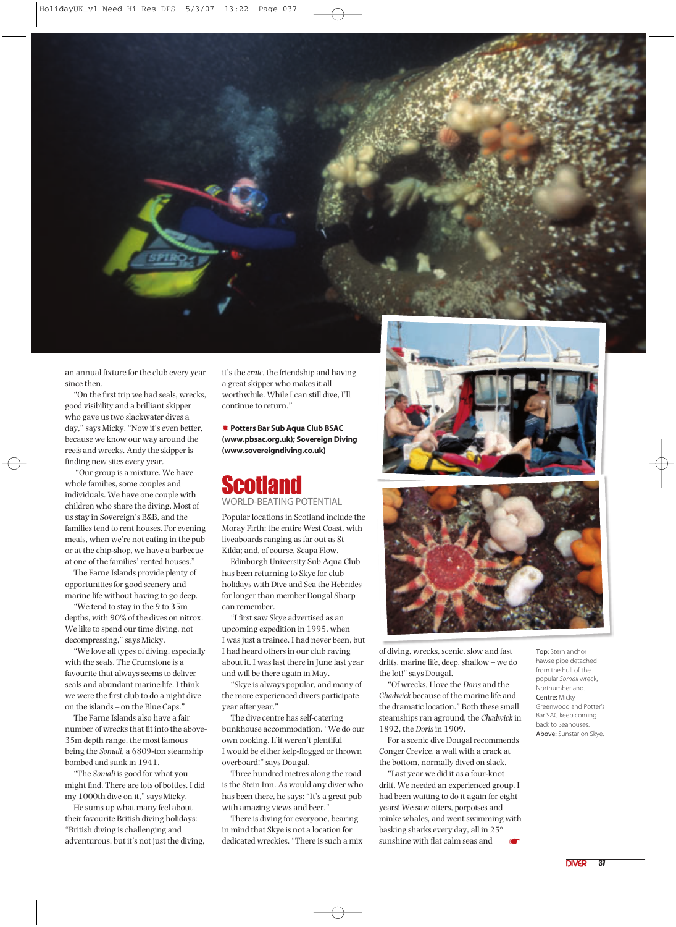

an annual fixture for the club every year since then.

"On the first trip we had seals, wrecks, good visibility and a brilliant skipper who gave us two slackwater dives a day," says Micky. "Now it's even better, because we know our way around the reefs and wrecks. Andy the skipper is finding new sites every year.

"Our group is a mixture. We have whole families, some couples and individuals. We have one couple with children who share the diving. Most of us stay in Sovereign's B&B, and the families tend to rent houses. For evening meals, when we're not eating in the pub or at the chip-shop, we have a barbecue at one of the families' rented houses."

The Farne Islands provide plenty of opportunities for good scenery and marine life without having to go deep.

"We tend to stay in the 9 to 35m depths, with 90% of the dives on nitrox. We like to spend our time diving, not decompressing," says Micky.

"We love all types of diving, especially with the seals. The Crumstone is a favourite that always seems to deliver seals and abundant marine life. I think we were the first club to do a night dive on the islands – on the Blue Caps."

The Farne Islands also have a fair number of wrecks that fit into the above-35m depth range, the most famous being the *Somali*, a 6809-ton steamship bombed and sunk in 1941.

"The *Somali* is good for what you might find. There are lots of bottles. I did my 1000th dive on it," says Micky.

He sums up what many feel about their favourite British diving holidays: "British diving is challenging and adventurous, but it's not just the diving, it's the *craic*, the friendship and having a great skipper who makes it all worthwhile. While I can still dive, I'll continue to return."

✹ **Potters Bar Sub Aqua Club BSAC (www.pbsac.org.uk); Sovereign Diving (www.sovereigndiving.co.uk)**

## **Scotland** WORLD-BEATING POTENTIAL

Popular locations in Scotland include the Moray Firth; the entire West Coast, with liveaboards ranging as far out as St Kilda; and, of course, Scapa Flow.

Edinburgh University Sub Aqua Club has been returning to Skye for club holidays with Dive and Sea the Hebrides for longer than member Dougal Sharp can remember.

"I first saw Skye advertised as an upcoming expedition in 1995, when I was just a trainee. I had never been, but I had heard others in our club raving about it. I was last there in June last year and will be there again in May.

"Skye is always popular, and many of the more experienced divers participate year after year."

The dive centre has self-catering bunkhouse accommodation. "We do our own cooking. If it weren't plentiful I would be either kelp-flogged or thrown overboard!" says Dougal.

Three hundred metres along the road is the Stein Inn. As would any diver who has been there, he says: "It's a great pub with amazing views and beer."

There is diving for everyone, bearing in mind that Skye is not a location for dedicated wreckies. "There is such a mix





of diving, wrecks, scenic, slow and fast drifts, marine life, deep, shallow – we do the lot!" says Dougal.

"Of wrecks, I love the *Doris* and the *Chadwick* because of the marine life and the dramatic location." Both these small steamships ran aground, the *Chadwick* in 1892, the *Doris*in 1909.

For a scenic dive Dougal recommends Conger Crevice, a wall with a crack at the bottom, normally dived on slack.

"Last year we did it as a four-knot drift. We needed an experienced group. I had been waiting to do it again for eight years! We saw otters, porpoises and minke whales, and went swimming with basking sharks every day, all in 25° sunshine with flat calm seas and ☛

Top: Stern anchor hawse pipe detached from the hull of the popular *Somali* wreck, .<br>Northumberland. Centre: Micky Greenwood and Potter's Bar SAC keep coming back to Seahouses. Above: Sunstar on Skye.